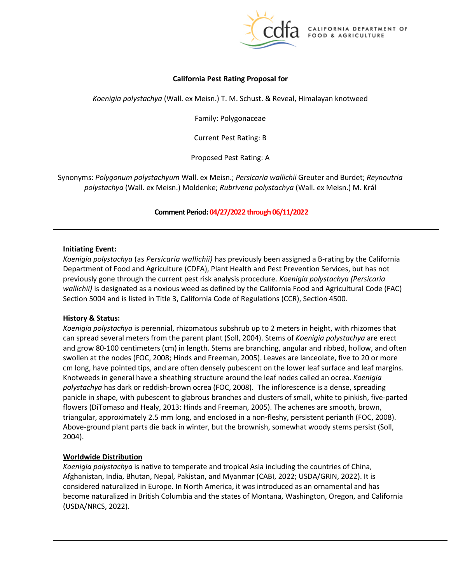

## **California Pest Rating Proposal for**

*Koenigia polystachya* (Wall. ex Meisn.) T. M. Schust. & Reveal, Himalayan knotweed

Family: Polygonaceae

Current Pest Rating: B

Proposed Pest Rating: A

 Synonyms: *Polygonum polystachyum* Wall. ex Meisn.; *Persicaria wallichii* Greuter and Burdet; *Reynoutria polystachya* (Wall. ex Meisn.) Moldenke; *Rubrivena polystachya* (Wall. ex Meisn.) M. Král

### **Comment Period: 04/27/2022 through 06/11/2022**

### **Initiating Event:**

 *Koenigia polystachya* (as *Persicaria wallichii)* has previously been assigned a B-rating by the California Department of Food and Agriculture (CDFA), Plant Health and Pest Prevention Services, but has not previously gone through the current pest risk analysis procedure. *Koenigia polystachya (Persicaria wallichii)* is designated as a noxious weed as defined by the California Food and Agricultural Code (FAC) Section 5004 and is listed in Title 3, California Code of Regulations (CCR), Section 4500.

### **History & Status:**

 *Koenigia polystachya* is perennial, rhizomatous subshrub up to 2 meters in height, with rhizomes that and grow 80-100 centimeters (cm) in length. Stems are branching, angular and ribbed, hollow, and often Knotweeds in general have a sheathing structure around the leaf nodes called an ocrea. *Koenigia*  panicle in shape, with pubescent to glabrous branches and clusters of small, white to pinkish, five-parted flowers (DiTomaso and Healy, 2013: Hinds and Freeman, 2005). The achenes are smooth, brown, can spread several meters from the parent plant (Soll, 2004). Stems of *Koenigia polystachya* are erect swollen at the nodes (FOC, 2008; Hinds and Freeman, 2005). Leaves are lanceolate, five to 20 or more cm long, have pointed tips, and are often densely pubescent on the lower leaf surface and leaf margins. *polystachya* has dark or reddish-brown ocrea (FOC, 2008). The inflorescence is a dense, spreading triangular, approximately 2.5 mm long, and enclosed in a non-fleshy, persistent perianth (FOC, 2008). Above-ground plant parts die back in winter, but the brownish, somewhat woody stems persist (Soll, 2004).

## **Worldwide Distribution**

 *Koenigia polystachya* is native to temperate and tropical Asia including the countries of China, become naturalized in British Columbia and the states of Montana, Washington, Oregon, and California (USDA/NRCS, 2022). Afghanistan, India, Bhutan, Nepal, Pakistan, and Myanmar (CABI, 2022; USDA/GRIN, 2022). It is considered naturalized in Europe. In North America, it was introduced as an ornamental and has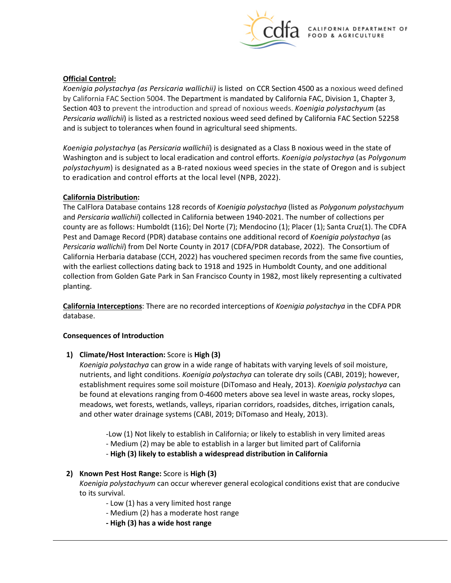

## **Official Control:**

 *Koenigia polystachya (as Persicaria wallichii)* is listed on CCR Section 4500 as a noxious weed defined Section 403 to prevent the introduction and spread of noxious weeds. *Koenigia polystachyum* (as by California FAC Section 5004. The Department is mandated by California FAC, Division 1, Chapter 3, *Persicaria wallichii*) is listed as a restricted noxious weed seed defined by California FAC Section 52258 and is subject to tolerances when found in agricultural seed shipments.

 Washington and is subject to local eradication and control efforts. *Koenigia polystachya* (as *Polygonum polystachyum*) is designated as a B-rated noxious weed species in the state of Oregon and is subject to eradication and control efforts at the local level (NPB, 2022). *Koenigia polystachya* (as *Persicaria wallichii*) is designated as a Class B noxious weed in the state of

# **California Distribution:**

 county are as follows: Humboldt (116); Del Norte (7); Mendocino (1); Placer (1); Santa Cruz(1). The CDFA *Persicaria wallichii*) from Del Norte County in 2017 (CDFA/PDR database, 2022). The Consortium of California Herbaria database (CCH, 2022) has vouchered specimen records from the same five counties, with the earliest collections dating back to 1918 and 1925 in Humboldt County, and one additional planting. The CalFlora Database contains 128 records of *Koenigia polystachya* (listed as *Polygonum polystachyum*  and *Persicaria wallichii*) collected in California between 1940-2021. The number of collections per Pest and Damage Record (PDR) database contains one additional record of *Koenigia polystachya* (as collection from Golden Gate Park in San Francisco County in 1982, most likely representing a cultivated

**California Interceptions**: There are no recorded interceptions of *Koenigia polystachya* in the CDFA PDR database.

## **Consequences of Introduction**

## **1)** Climate/Host Interaction: Score is High (3)

 *Koenigia polystachya* can grow in a wide range of habitats with varying levels of soil moisture, nutrients, and light conditions. *Koenigia polystachya* can tolerate dry soils (CABI, 2019); however, be found at elevations ranging from 0-4600 meters above sea level in waste areas, rocky slopes, and other water drainage systems (CABI, 2019; DiTomaso and Healy, 2013). establishment requires some soil moisture (DiTomaso and Healy, 2013). *Koenigia polystachya* can meadows, wet forests, wetlands, valleys, riparian corridors, roadsides, ditches, irrigation canals,

- -Low (1) Not likely to establish in California; or likely to establish in very limited areas
- Medium (2) may be able to establish in a larger but limited part of California
- **High (3) likely to establish a widespread distribution in California**

## **2) Known Pest Host Range:** Score is **High (3)**

*Koenigia polystachyum* can occur wherever general ecological conditions exist that are conducive to its survival.

- Low (1) has a very limited host range
- Medium (2) has a moderate host range
- **- High (3) has a wide host range**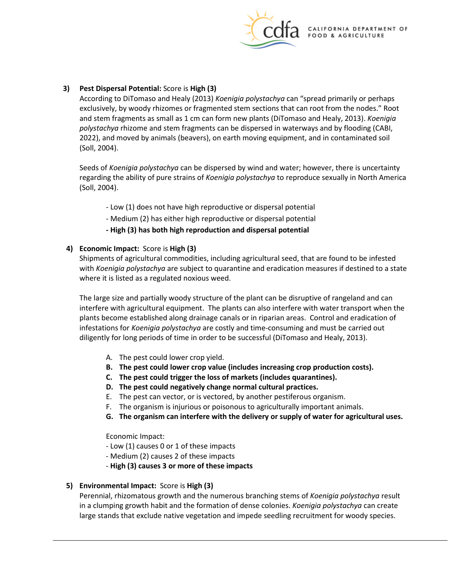

# **3) Pest Dispersal Potential:** Score is **High (3)**

 exclusively, by woody rhizomes or fragmented stem sections that can root from the nodes." Root and stem fragments as small as 1 cm can form new plants (DiTomaso and Healy, 2013). *Koenigia*  According to DiTomaso and Healy (2013) *Koenigia polystachya* can "spread primarily or perhaps *polystachya* rhizome and stem fragments can be dispersed in waterways and by flooding (CABI, 2022), and moved by animals (beavers), on earth moving equipment, and in contaminated soil (Soll, 2004).

 regarding the ability of pure strains of *Koenigia polystachya* to reproduce sexually in North America (Soll, 2004). Seeds of *Koenigia polystachya* can be dispersed by wind and water; however, there is uncertainty

- Low (1) does not have high reproductive or dispersal potential
- Medium (2) has either high reproductive or dispersal potential
- **- High (3) has both high reproduction and dispersal potential**

## **4) Economic Impact:** Score is **High (3)**

Shipments of agricultural commodities, including agricultural seed, that are found to be infested with *Koenigia polystachya* are subject to quarantine and eradication measures if destined to a state where it is listed as a regulated noxious weed.

 The large size and partially woody structure of the plant can be disruptive of rangeland and can interfere with agricultural equipment. The plants can also interfere with water transport when the diligently for long periods of time in order to be successful (DiTomaso and Healy, 2013). plants become established along drainage canals or in riparian areas. Control and eradication of infestations for *Koenigia polystachya* are costly and time-consuming and must be carried out

- A. The pest could lower crop yield.
- **B. The pest could lower crop value (includes increasing crop production costs).**
- **C. The pest could trigger the loss of markets (includes quarantines).**
- **D. The pest could negatively change normal cultural practices.**
- E. The pest can vector, or is vectored, by another pestiferous organism.
- F. The organism is injurious or poisonous to agriculturally important animals.
- **G. The organism can interfere with the delivery or supply of water for agricultural uses.**

Economic Impact:

- Low (1) causes 0 or 1 of these impacts
- Medium (2) causes 2 of these impacts
- **High (3) causes 3 or more of these impacts**

# **5) Environmental Impact:** Score is **High (3)**

 Perennial, rhizomatous growth and the numerous branching stems of *Koenigia polystachya* result in a clumping growth habit and the formation of dense colonies. *Koenigia polystachya* can create large stands that exclude native vegetation and impede seedling recruitment for woody species.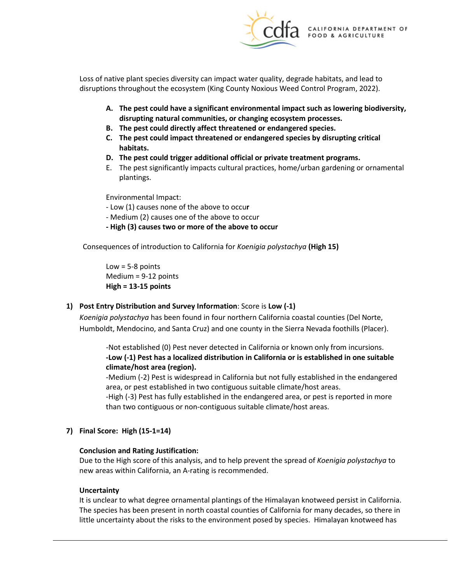

 Loss of native plant species diversity can impact water quality, degrade habitats, and lead to disruptions throughout the ecosystem (King County Noxious Weed Control Program, 2022).

- **disrupting natural communities, or changing ecosystem processes. A. The pest could have a significant environmental impact such as lowering biodiversity,**
- **B. The pest could directly affect threatened or endangered species.**
- **C. The pest could impact threatened or endangered species by disrupting critical habitats.**
- **D. The pest could trigger additional official or private treatment programs.**
- E. The pest significantly impacts cultural practices, home/urban gardening or ornamental plantings.

Environmental Impact:

- Low (1) causes none of the above to occur
- Medium (2) causes one of the above to occur
- **- High (3) causes two or more of the above to occur**

 Consequences of introduction to California for *Koenigia polystachya* **(High 15)** 

Low  $=$  5-8 points Medium = 9-12 points **High = 13-15 points** 

## **1) Post Entry Distribution and Survey Information**: Score is **Low (-1)**

 *Koenigia polystachya* has been found in four northern California coastal counties (Del Norte, Humboldt, Mendocino, and Santa Cruz) and one county in the Sierra Nevada foothills (Placer).

 -Not established (0) Pest never detected in California or known only from incursions. **-Low (-1) Pest has a localized distribution in California or is established in one suitable climate/host area (region).** 

-Medium (-2) Pest is widespread in California but not fully established in the endangered area, or pest established in two contiguous suitable climate/host areas.

 than two contiguous or non-contiguous suitable climate/host areas. -High (-3) Pest has fully established in the endangered area, or pest is reported in more

**7) Final Score: High (15-1=14)** 

### **Conclusion and Rating Justification:**

Due to the High score of this analysis, and to help prevent the spread of *Koenigia polystachya* to new areas within California, an A-rating is recommended.

### **Uncertainty**

It is unclear to what degree ornamental plantings of the Himalayan knotweed persist in California.<br>The species has been present in north coastal counties of California for many decades, so there in little uncertainty about the risks to the environment posed by species. Himalayan knotweed has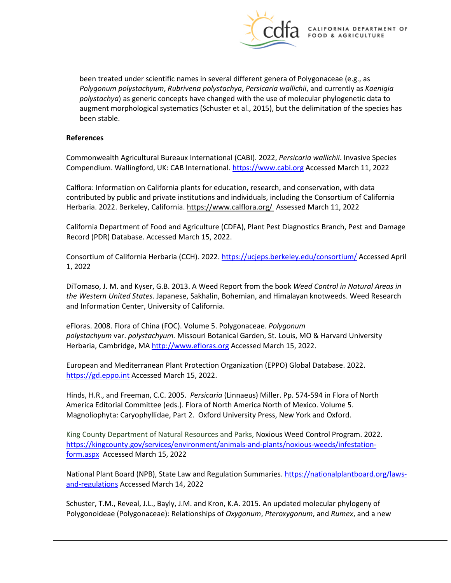

been treated under scientific names in several different genera of Polygonaceae (e.g., as *Polygonum polystachyum*, *Rubrivena polystachya*, *Persicaria wallichii*, and currently as *Koenigia polystachya*) as generic concepts have changed with the use of molecular phylogenetic data to augment morphological systematics (Schuster et al., 2015), but the delimitation of the species has been stable.

### **References**

Compendium. Wallingford, UK: CAB International[. https://www.cabi.org A](https://www.cabi.org/)ccessed March 11, 2022 Commonwealth Agricultural Bureaux International (CABI). 2022, *Persicaria wallichii*. Invasive Species

[Herbaria.](http://ucjeps.berkeley.edu/consortium/about.html) 2022. Berkeley, California. https://www.calflora.org/\_Assessed March 11, 2022 [Calflora:](https://www.calflora.org/) Information on California plants for education, research, and conservation, with data contributed by public and private institutions and individuals, including the [Consortium of California](http://ucjeps.berkeley.edu/consortium/about.html) 

 California Department of Food and Agriculture (CDFA), Plant Pest Diagnostics Branch, Pest and Damage Record (PDR) Database. Accessed March 15, 2022.

Consortium of California Herbaria (CCH). 2022.<https://ucjeps.berkeley.edu/consortium/>Accessed April 1, 2022

DiTomaso, J. M. and Kyser, G.B. 2013. A Weed Report from the book *Weed Control in Natural Areas in the Western United States*. Japanese, Sakhalin, Bohemian, and Himalayan knotweeds. Weed Research and Information Center, University of California.

 eFloras. 2008. Flora of China (FOC). Volume 5. Polygonaceae. *Polygonum polystachyum* var. *polystachyum.* Missouri Botanical Garden, St. Louis, MO & Harvard University Herbaria, Cambridge, MA [http://www.efloras.org](http://www.efloras.org/) Accessed March 15, 2022.

European and Mediterranean Plant Protection Organization (EPPO) Global Database. 2022. [https://gd.eppo.int](https://gd.eppo.int/) Accessed March 15, 2022.

 Hinds, H.R., and Freeman, C.C. 2005. *Persicaria* (Linnaeus) Miller. Pp. 574-594 in Flora of North Magnoliophyta: Caryophyllidae, Part 2. Oxford University Press, New York and Oxford. America Editorial Committee (eds.). Flora of North America North of Mexico. Volume 5.

[form.aspx](https://kingcounty.gov/services/environment/animals-and-plants/noxious-weeds/infestation-form.aspx) Accessed March 15, 2022 King County Department of Natural Resources and Parks, Noxious Weed Control Program. 2022. [https://kingcounty.gov/services/environment/animals-and-plants/noxious-weeds/infestation-](https://kingcounty.gov/services/environment/animals-and-plants/noxious-weeds/infestation-form.aspx)

National Plant Board (NPB), State Law and Regulation Summaries[. https://nationalplantboard.org/laws](https://nationalplantboard.org/laws-and-regulations)[and-regulations A](https://nationalplantboard.org/laws-and-regulations)ccessed March 14, 2022

 Schuster, T.M., Reveal, J.L., Bayly, J.M. and Kron, K.A. 2015. An updated molecular phylogeny of Polygonoideae (Polygonaceae): Relationships of *Oxygonum*, *Pteroxygonum*, and *Rumex*, and a new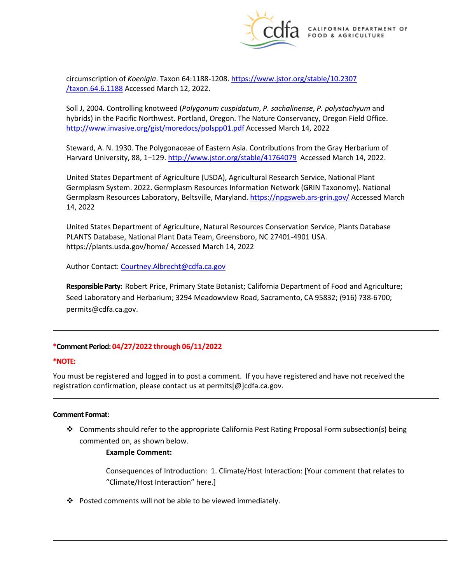

 [/taxon.64.6.1188](https://www.jstor.org/stable/10.2307%20/taxon.64.6.1188) Accessed March 12, 2022. circumscription of *Koenigia*. Taxon 64:1188-1208. [https://www.jstor.org/stable/10.2307](https://www.jstor.org/stable/10.2307%20/taxon.64.6.1188) 

 hybrids) in the Pacific Northwest. Portland, Oregon. The Nature Conservancy, Oregon Field Office. Soll J, 2004. Controlling knotweed (*Polygonum cuspidatum*, *P. sachalinense*, *P. polystachyum* and <http://www.invasive.org/gist/moredocs/polspp01.pdf>Accessed March 14, 2022

Harvard University, 88, 1–129. [http://www.jstor.org/stable/41764079 Accessed March 14,](http://www.jstor.org/stable/41764079%20Accessed%20March%2014) 2022. Steward, A. N. 1930. The Polygonaceae of Eastern Asia. Contributions from the Gray Herbarium of

 Germplasm System. 2022. Germplasm Resources Information Network (GRIN Taxonomy). National 14, 2022 United States Department of Agriculture (USDA), Agricultural Research Service, National Plant Germplasm Resources Laboratory, Beltsville, Maryland[. https://npgsweb.ars-grin.gov/ A](https://npgsweb.ars-grin.gov/)ccessed March

United States Department of Agriculture, Natural Resources Conservation Service, Plants Database PLANTS Database, National Plant Data Team, Greensboro, NC 27401-4901 USA. <https://plants.usda.gov/home/>Accessed March 14, 2022

Author Contact: [Courtney.Albrecht@cdfa.ca.gov](mailto:Courtney.Albrecht@cdfa.ca.gov) 

 **Responsible Party:** Robert Price, Primary State Botanist; California Department of Food and Agriculture; Seed Laboratory and Herbarium; 3294 Meadowview Road, Sacramento, CA 95832; (916) 738-6700; [permits@cdfa.ca.gov.](mailto:permits@cdfa.ca.gov)

## **\*Comment Period: 04/27/2022 through 06/11/2022**

### **\*NOTE:**

You must be registered and logged in to post a comment. If you have registered and have not received the registration confirmation, please contact us at [permits\[@\]cdfa.ca.gov](https://permits[@]cdfa.ca.gov).

### **Comment Format:**

 commented on, as shown below. Comments should refer to the appropriate California Pest Rating Proposal Form subsection(s) being

## **Example Comment:**

 Consequences of Introduction: 1. Climate/Host Interaction: [Your comment that relates to "Climate/Host Interaction" here.]

 $\cdot \cdot$  Posted comments will not be able to be viewed immediately.